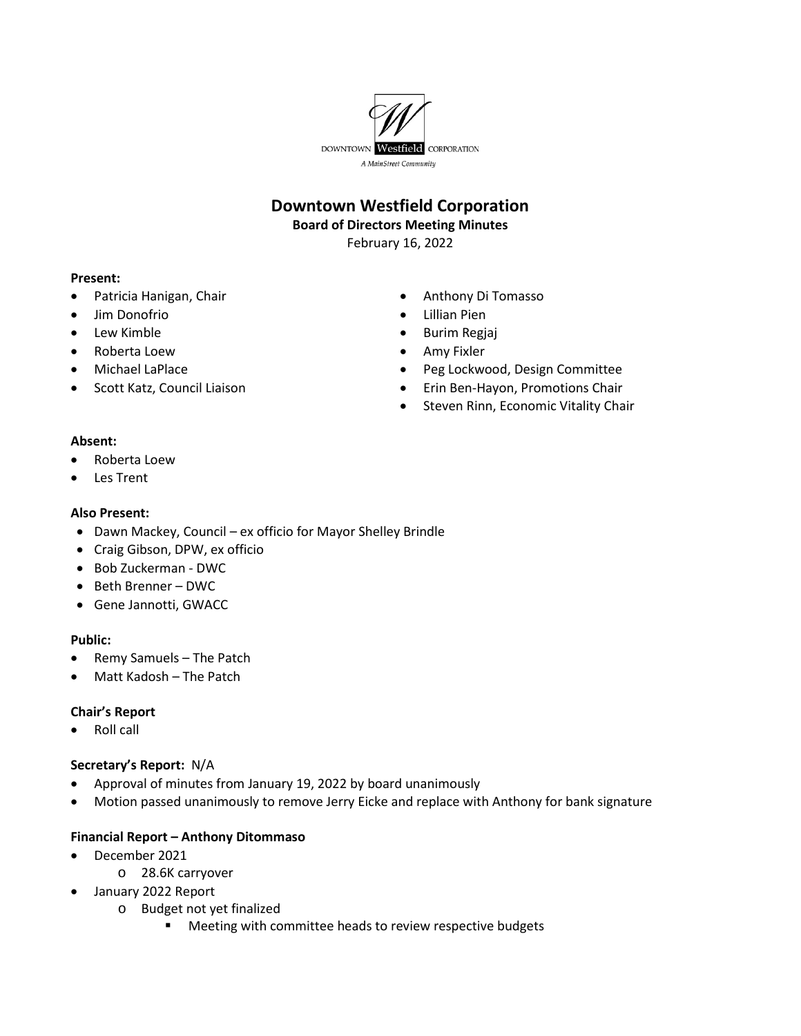

# **Downtown Westfield Corporation**

#### **Board of Directors Meeting Minutes**

February 16, 2022

#### **Present:**

- Patricia Hanigan, Chair
- Jim Donofrio
- Lew Kimble
- Roberta Loew
- Michael LaPlace
- Scott Katz, Council Liaison
- Anthony Di Tomasso
- Lillian Pien
- Burim Regjaj
- Amy Fixler
- Peg Lockwood, Design Committee
- Erin Ben-Hayon, Promotions Chair
- Steven Rinn, Economic Vitality Chair

## **Absent:**

- Roberta Loew
- Les Trent

## **Also Present:**

- Dawn Mackey, Council ex officio for Mayor Shelley Brindle
- Craig Gibson, DPW, ex officio
- Bob Zuckerman DWC
- Beth Brenner DWC
- Gene Jannotti, GWACC

#### **Public:**

- Remy Samuels The Patch
- Matt Kadosh The Patch

#### **Chair's Report**

• Roll call

#### **Secretary's Report:** N/A

- Approval of minutes from January 19, 2022 by board unanimously
- Motion passed unanimously to remove Jerry Eicke and replace with Anthony for bank signature

# **Financial Report – Anthony Ditommaso**

- December 2021
	- o 28.6K carryover
- January 2022 Report
	- o Budget not yet finalized
		- **Meeting with committee heads to review respective budgets**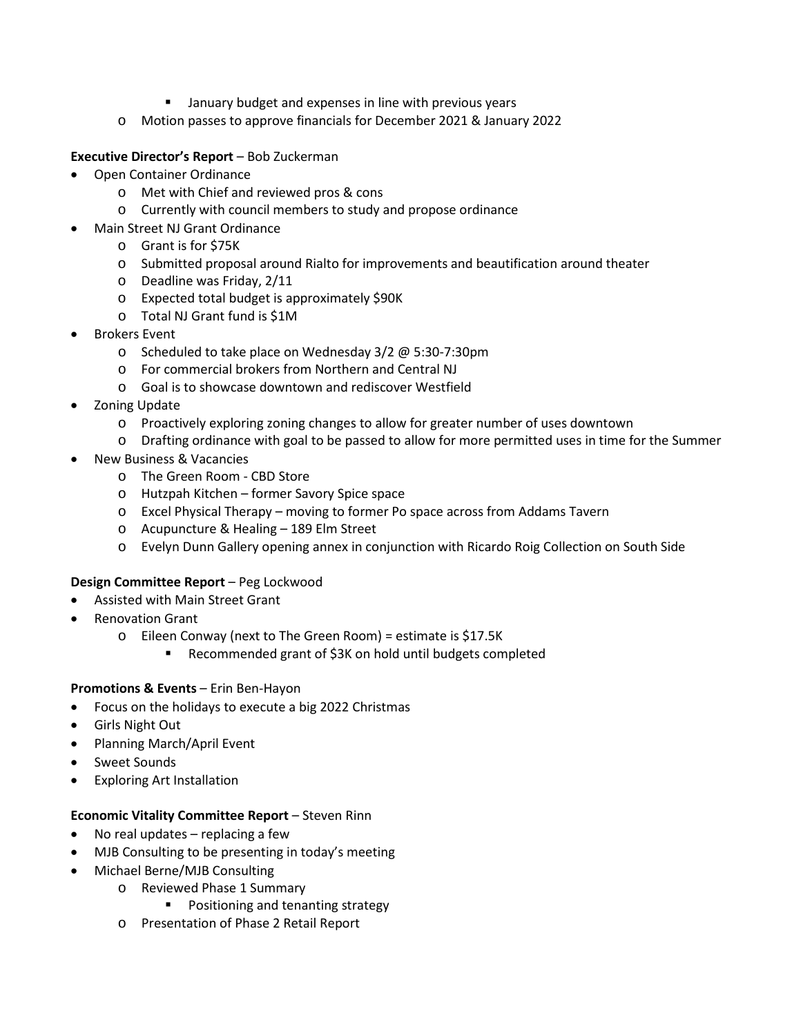- **E** January budget and expenses in line with previous years
- o Motion passes to approve financials for December 2021 & January 2022

**Executive Director's Report** – Bob Zuckerman

- Open Container Ordinance
	- o Met with Chief and reviewed pros & cons
	- o Currently with council members to study and propose ordinance
- Main Street NJ Grant Ordinance
	- o Grant is for \$75K
	- o Submitted proposal around Rialto for improvements and beautification around theater
	- o Deadline was Friday, 2/11
	- o Expected total budget is approximately \$90K
	- o Total NJ Grant fund is \$1M
- Brokers Event
	- o Scheduled to take place on Wednesday 3/2 @ 5:30-7:30pm
	- o For commercial brokers from Northern and Central NJ
	- o Goal is to showcase downtown and rediscover Westfield
- Zoning Update
	- o Proactively exploring zoning changes to allow for greater number of uses downtown
	- o Drafting ordinance with goal to be passed to allow for more permitted uses in time for the Summer
- New Business & Vacancies
	- o The Green Room CBD Store
	- o Hutzpah Kitchen former Savory Spice space
	- o Excel Physical Therapy moving to former Po space across from Addams Tavern
	- o Acupuncture & Healing 189 Elm Street
	- o Evelyn Dunn Gallery opening annex in conjunction with Ricardo Roig Collection on South Side

#### **Design Committee Report** – Peg Lockwood

- Assisted with Main Street Grant
- Renovation Grant
	- o Eileen Conway (next to The Green Room) = estimate is \$17.5K
		- Recommended grant of \$3K on hold until budgets completed

#### **Promotions & Events** – Erin Ben-Hayon

- Focus on the holidays to execute a big 2022 Christmas
- Girls Night Out
- Planning March/April Event
- Sweet Sounds
- Exploring Art Installation

#### **Economic Vitality Committee Report** – Steven Rinn

- No real updates replacing a few
- MJB Consulting to be presenting in today's meeting
- Michael Berne/MJB Consulting
	- o Reviewed Phase 1 Summary
		- **Positioning and tenanting strategy**
	- o Presentation of Phase 2 Retail Report